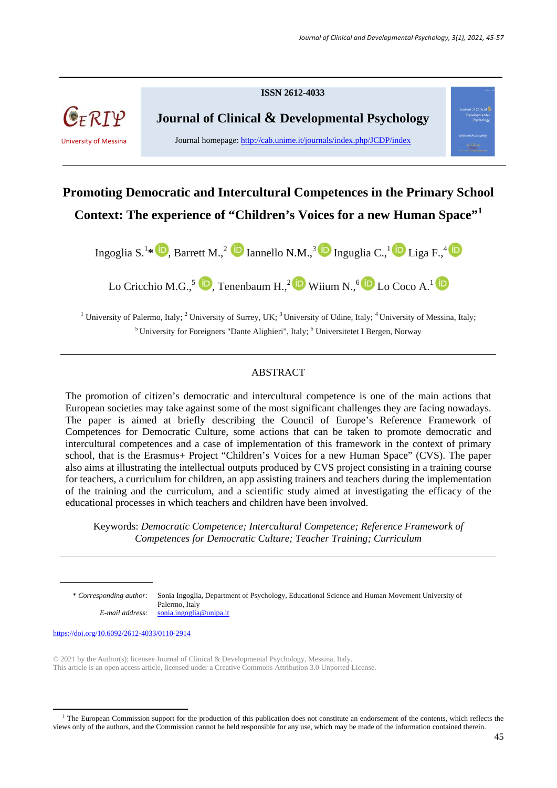

# **Promoting Democratic and Intercultural Competences in the Primary School Context: The experience of "Children's Voices for a new Human Space"<sup>1</sup>**

Ingoglia S.<sup>1\*</sup> **D**, Barrett M.,<sup>2</sup> **D** Iannello N.M.,<sup>3</sup> **D** Inguglia C.,<sup>1</sup> **D** Liga F.,<sup>4</sup>

Lo Cricchio M.G.,  $\overline{5}$   $\overline{D}$ , Tenenbaum H.,  $\overline{2}$   $\overline{D}$  Wiium N.,  $\overline{6}$  Lo Coco A.<sup>1</sup>  $\overline{D}$ 

<sup>1</sup> University of Palermo, Italy; <sup>2</sup> University of Surrey, UK; <sup>3</sup> University of Udine, Italy; <sup>4</sup> University of Messina, Italy; <sup>5</sup> University for Foreigners "Dante Alighieri", Italy; <sup>6</sup> Universitetet I Bergen, Norway

# ABSTRACT

The promotion of citizen's democratic and intercultural competence is one of the main actions that European societies may take against some of the most significant challenges they are facing nowadays. The paper is aimed at briefly describing the Council of Europe's Reference Framework of Competences for Democratic Culture, some actions that can be taken to promote democratic and intercultural competences and a case of implementation of this framework in the context of primary school, that is the Erasmus+ Project "Children's Voices for a new Human Space" (CVS). The paper also aims at illustrating the intellectual outputs produced by CVS project consisting in a training course for teachers, a curriculum for children, an app assisting trainers and teachers during the implementation of the training and the curriculum, and a scientific study aimed at investigating the efficacy of the educational processes in which teachers and children have been involved.

Keywords: *Democratic Competence; Intercultural Competence; Reference Framework of Competences for Democratic Culture; Teacher Training; Curriculum* 

\* *Corresponding author*: Sonia Ingoglia, Department of Psychology, Educational Science and Human Movement University of Palermo, Italy *E-mail address*: sonia.ingoglia@unipa.it

https://doi.org/10.6092/2612-4033/0110-2914

© 2021 by the Author(s); licensee Journal of Clinical & Developmental Psychology, Messina, Italy. This article is an open access article, licensed under a Creative Commons Attribution 3.0 Unported License.

<sup>&</sup>lt;sup>1</sup> The European Commission support for the production of this publication does not constitute an endorsement of the contents, which reflects the views only of the authors, and the Commission cannot be held responsible for any use, which may be made of the information contained therein.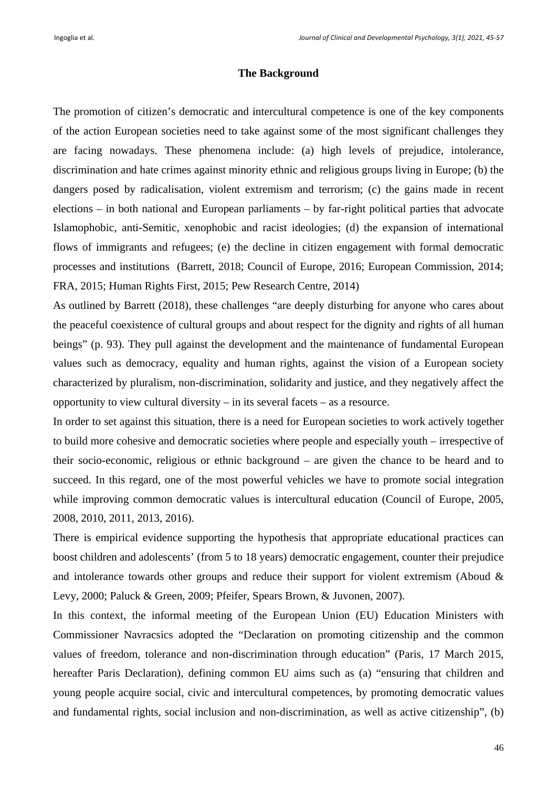## **The Background**

The promotion of citizen's democratic and intercultural competence is one of the key components of the action European societies need to take against some of the most significant challenges they are facing nowadays. These phenomena include: (a) high levels of prejudice, intolerance, discrimination and hate crimes against minority ethnic and religious groups living in Europe; (b) the dangers posed by radicalisation, violent extremism and terrorism; (c) the gains made in recent elections – in both national and European parliaments – by far-right political parties that advocate Islamophobic, anti-Semitic, xenophobic and racist ideologies; (d) the expansion of international flows of immigrants and refugees; (e) the decline in citizen engagement with formal democratic processes and institutions (Barrett, 2018; Council of Europe, 2016; European Commission, 2014; FRA, 2015; Human Rights First, 2015; Pew Research Centre, 2014)

As outlined by Barrett (2018), these challenges "are deeply disturbing for anyone who cares about the peaceful coexistence of cultural groups and about respect for the dignity and rights of all human beings" (p. 93). They pull against the development and the maintenance of fundamental European values such as democracy, equality and human rights, against the vision of a European society characterized by pluralism, non-discrimination, solidarity and justice, and they negatively affect the opportunity to view cultural diversity – in its several facets – as a resource.

In order to set against this situation, there is a need for European societies to work actively together to build more cohesive and democratic societies where people and especially youth – irrespective of their socio-economic, religious or ethnic background – are given the chance to be heard and to succeed. In this regard, one of the most powerful vehicles we have to promote social integration while improving common democratic values is intercultural education (Council of Europe, 2005, 2008, 2010, 2011, 2013, 2016).

There is empirical evidence supporting the hypothesis that appropriate educational practices can boost children and adolescents' (from 5 to 18 years) democratic engagement, counter their prejudice and intolerance towards other groups and reduce their support for violent extremism (Aboud & Levy, 2000; Paluck & Green, 2009; Pfeifer, Spears Brown, & Juvonen, 2007).

In this context, the informal meeting of the European Union (EU) Education Ministers with Commissioner Navracsics adopted the "Declaration on promoting citizenship and the common values of freedom, tolerance and non-discrimination through education" (Paris, 17 March 2015, hereafter Paris Declaration), defining common EU aims such as (a) "ensuring that children and young people acquire social, civic and intercultural competences, by promoting democratic values and fundamental rights, social inclusion and non-discrimination, as well as active citizenship", (b)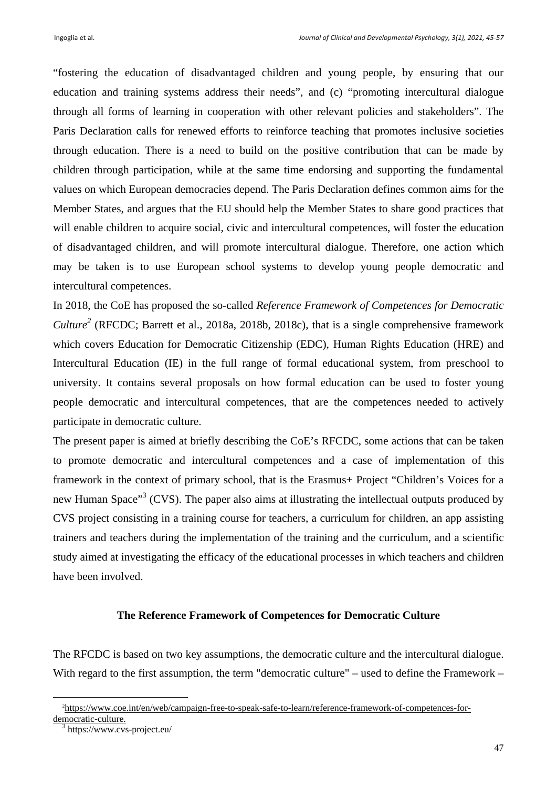"fostering the education of disadvantaged children and young people, by ensuring that our education and training systems address their needs", and (c) "promoting intercultural dialogue through all forms of learning in cooperation with other relevant policies and stakeholders". The Paris Declaration calls for renewed efforts to reinforce teaching that promotes inclusive societies through education. There is a need to build on the positive contribution that can be made by children through participation, while at the same time endorsing and supporting the fundamental values on which European democracies depend. The Paris Declaration defines common aims for the Member States, and argues that the EU should help the Member States to share good practices that will enable children to acquire social, civic and intercultural competences, will foster the education of disadvantaged children, and will promote intercultural dialogue. Therefore, one action which may be taken is to use European school systems to develop young people democratic and intercultural competences.

In 2018, the CoE has proposed the so-called *Reference Framework of Competences for Democratic*  Culture<sup>2</sup> (RFCDC; Barrett et al., 2018a, 2018b, 2018c), that is a single comprehensive framework which covers Education for Democratic Citizenship (EDC), Human Rights Education (HRE) and Intercultural Education (IE) in the full range of formal educational system, from preschool to university. It contains several proposals on how formal education can be used to foster young people democratic and intercultural competences, that are the competences needed to actively participate in democratic culture.

The present paper is aimed at briefly describing the CoE's RFCDC, some actions that can be taken to promote democratic and intercultural competences and a case of implementation of this framework in the context of primary school, that is the Erasmus+ Project "Children's Voices for a new Human Space"<sup>3</sup> (CVS). The paper also aims at illustrating the intellectual outputs produced by CVS project consisting in a training course for teachers, a curriculum for children, an app assisting trainers and teachers during the implementation of the training and the curriculum, and a scientific study aimed at investigating the efficacy of the educational processes in which teachers and children have been involved.

# **The Reference Framework of Competences for Democratic Culture**

The RFCDC is based on two key assumptions, the democratic culture and the intercultural dialogue. With regard to the first assumption, the term "democratic culture" – used to define the Framework –

<sup>2</sup> https://www.coe.int/en/web/campaign-free-to-speak-safe-to-learn/reference-framework-of-competences-fordemocratic-culture.

https://www.cvs-project.eu/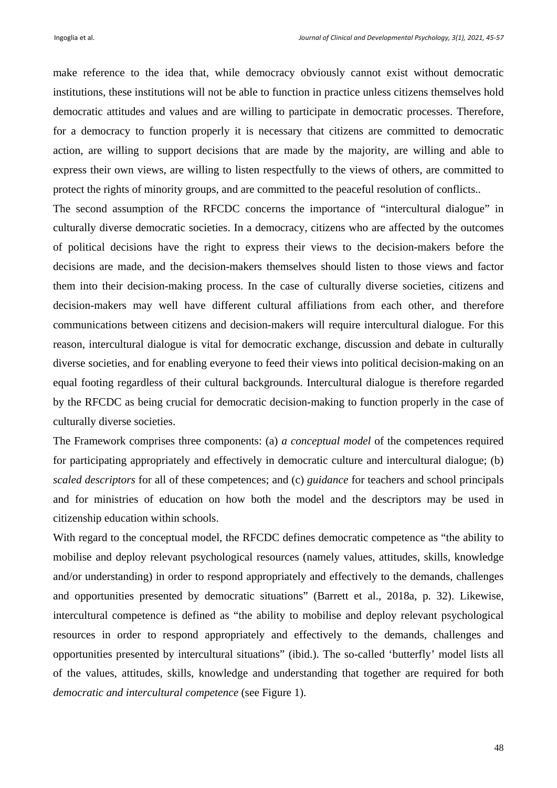make reference to the idea that, while democracy obviously cannot exist without democratic institutions, these institutions will not be able to function in practice unless citizens themselves hold democratic attitudes and values and are willing to participate in democratic processes. Therefore, for a democracy to function properly it is necessary that citizens are committed to democratic action, are willing to support decisions that are made by the majority, are willing and able to express their own views, are willing to listen respectfully to the views of others, are committed to protect the rights of minority groups, and are committed to the peaceful resolution of conflicts..

The second assumption of the RFCDC concerns the importance of "intercultural dialogue" in culturally diverse democratic societies. In a democracy, citizens who are affected by the outcomes of political decisions have the right to express their views to the decision-makers before the decisions are made, and the decision-makers themselves should listen to those views and factor them into their decision-making process. In the case of culturally diverse societies, citizens and decision-makers may well have different cultural affiliations from each other, and therefore communications between citizens and decision-makers will require intercultural dialogue. For this reason, intercultural dialogue is vital for democratic exchange, discussion and debate in culturally diverse societies, and for enabling everyone to feed their views into political decision-making on an equal footing regardless of their cultural backgrounds. Intercultural dialogue is therefore regarded by the RFCDC as being crucial for democratic decision-making to function properly in the case of culturally diverse societies.

The Framework comprises three components: (a) *a conceptual model* of the competences required for participating appropriately and effectively in democratic culture and intercultural dialogue; (b) *scaled descriptors* for all of these competences; and (c) *guidance* for teachers and school principals and for ministries of education on how both the model and the descriptors may be used in citizenship education within schools.

With regard to the conceptual model, the RFCDC defines democratic competence as "the ability to mobilise and deploy relevant psychological resources (namely values, attitudes, skills, knowledge and/or understanding) in order to respond appropriately and effectively to the demands, challenges and opportunities presented by democratic situations" (Barrett et al., 2018a, p. 32). Likewise, intercultural competence is defined as "the ability to mobilise and deploy relevant psychological resources in order to respond appropriately and effectively to the demands, challenges and opportunities presented by intercultural situations" (ibid.). The so-called 'butterfly' model lists all of the values, attitudes, skills, knowledge and understanding that together are required for both *democratic and intercultural competence* (see Figure 1).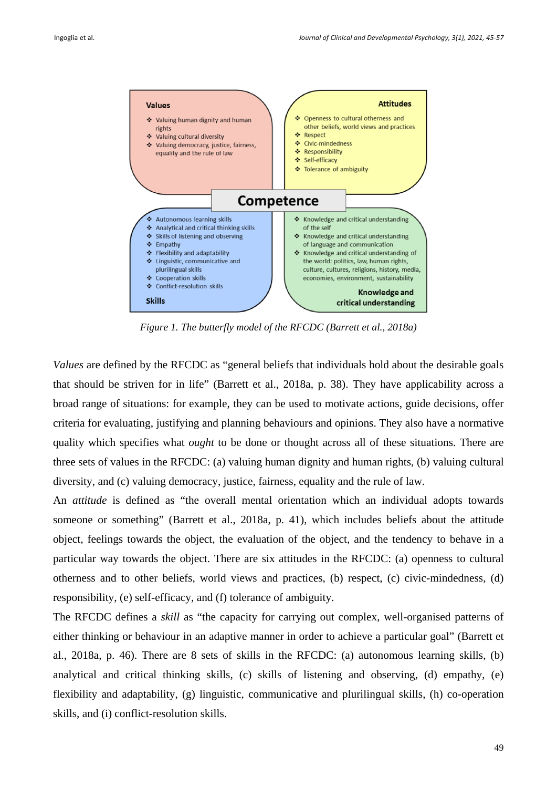

*Figure 1. The butterfly model of the RFCDC (Barrett et al., 2018a)* 

*Values* are defined by the RFCDC as "general beliefs that individuals hold about the desirable goals that should be striven for in life" (Barrett et al., 2018a, p. 38). They have applicability across a broad range of situations: for example, they can be used to motivate actions, guide decisions, offer criteria for evaluating, justifying and planning behaviours and opinions. They also have a normative quality which specifies what *ought* to be done or thought across all of these situations. There are three sets of values in the RFCDC: (a) valuing human dignity and human rights, (b) valuing cultural diversity, and (c) valuing democracy, justice, fairness, equality and the rule of law.

An *attitude* is defined as "the overall mental orientation which an individual adopts towards someone or something" (Barrett et al., 2018a, p. 41), which includes beliefs about the attitude object, feelings towards the object, the evaluation of the object, and the tendency to behave in a particular way towards the object. There are six attitudes in the RFCDC: (a) openness to cultural otherness and to other beliefs, world views and practices, (b) respect, (c) civic-mindedness, (d) responsibility, (e) self-efficacy, and (f) tolerance of ambiguity.

The RFCDC defines a *skill* as "the capacity for carrying out complex, well-organised patterns of either thinking or behaviour in an adaptive manner in order to achieve a particular goal" (Barrett et al., 2018a, p. 46). There are 8 sets of skills in the RFCDC: (a) autonomous learning skills, (b) analytical and critical thinking skills, (c) skills of listening and observing, (d) empathy, (e) flexibility and adaptability, (g) linguistic, communicative and plurilingual skills, (h) co-operation skills, and (i) conflict-resolution skills.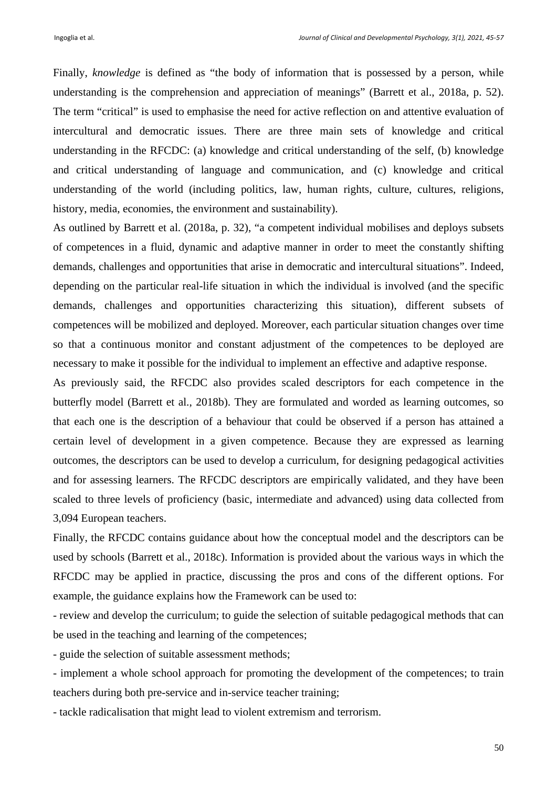Finally, *knowledge* is defined as "the body of information that is possessed by a person, while understanding is the comprehension and appreciation of meanings" (Barrett et al., 2018a, p. 52). The term "critical" is used to emphasise the need for active reflection on and attentive evaluation of intercultural and democratic issues. There are three main sets of knowledge and critical understanding in the RFCDC: (a) knowledge and critical understanding of the self, (b) knowledge and critical understanding of language and communication, and (c) knowledge and critical understanding of the world (including politics, law, human rights, culture, cultures, religions, history, media, economies, the environment and sustainability).

As outlined by Barrett et al. (2018a, p. 32), "a competent individual mobilises and deploys subsets of competences in a fluid, dynamic and adaptive manner in order to meet the constantly shifting demands, challenges and opportunities that arise in democratic and intercultural situations". Indeed, depending on the particular real-life situation in which the individual is involved (and the specific demands, challenges and opportunities characterizing this situation), different subsets of competences will be mobilized and deployed. Moreover, each particular situation changes over time so that a continuous monitor and constant adjustment of the competences to be deployed are necessary to make it possible for the individual to implement an effective and adaptive response.

As previously said, the RFCDC also provides scaled descriptors for each competence in the butterfly model (Barrett et al., 2018b). They are formulated and worded as learning outcomes, so that each one is the description of a behaviour that could be observed if a person has attained a certain level of development in a given competence. Because they are expressed as learning outcomes, the descriptors can be used to develop a curriculum, for designing pedagogical activities and for assessing learners. The RFCDC descriptors are empirically validated, and they have been scaled to three levels of proficiency (basic, intermediate and advanced) using data collected from 3,094 European teachers.

Finally, the RFCDC contains guidance about how the conceptual model and the descriptors can be used by schools (Barrett et al., 2018c). Information is provided about the various ways in which the RFCDC may be applied in practice, discussing the pros and cons of the different options. For example, the guidance explains how the Framework can be used to:

- review and develop the curriculum; to guide the selection of suitable pedagogical methods that can be used in the teaching and learning of the competences;

- guide the selection of suitable assessment methods;

- implement a whole school approach for promoting the development of the competences; to train teachers during both pre-service and in-service teacher training;

- tackle radicalisation that might lead to violent extremism and terrorism.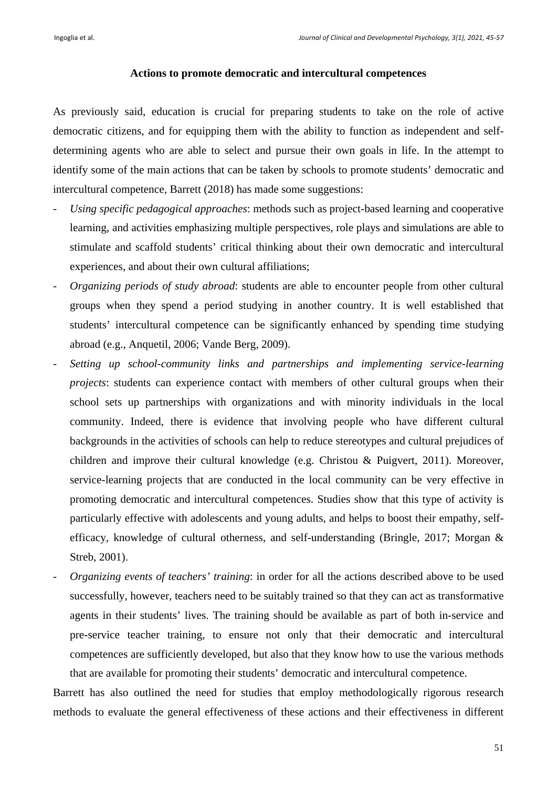#### **Actions to promote democratic and intercultural competences**

As previously said, education is crucial for preparing students to take on the role of active democratic citizens, and for equipping them with the ability to function as independent and selfdetermining agents who are able to select and pursue their own goals in life. In the attempt to identify some of the main actions that can be taken by schools to promote students' democratic and intercultural competence, Barrett (2018) has made some suggestions:

- *Using specific pedagogical approaches*: methods such as project-based learning and cooperative learning, and activities emphasizing multiple perspectives, role plays and simulations are able to stimulate and scaffold students' critical thinking about their own democratic and intercultural experiences, and about their own cultural affiliations;
- *Organizing periods of study abroad*: students are able to encounter people from other cultural groups when they spend a period studying in another country. It is well established that students' intercultural competence can be significantly enhanced by spending time studying abroad (e.g., Anquetil, 2006; Vande Berg, 2009).
- *Setting up school-community links and partnerships and implementing service-learning projects*: students can experience contact with members of other cultural groups when their school sets up partnerships with organizations and with minority individuals in the local community. Indeed, there is evidence that involving people who have different cultural backgrounds in the activities of schools can help to reduce stereotypes and cultural prejudices of children and improve their cultural knowledge (e.g. Christou & Puigvert, 2011). Moreover, service-learning projects that are conducted in the local community can be very effective in promoting democratic and intercultural competences. Studies show that this type of activity is particularly effective with adolescents and young adults, and helps to boost their empathy, selfefficacy, knowledge of cultural otherness, and self-understanding (Bringle, 2017; Morgan & Streb, 2001).
- *Organizing events of teachers' training*: in order for all the actions described above to be used successfully, however, teachers need to be suitably trained so that they can act as transformative agents in their students' lives. The training should be available as part of both in-service and pre-service teacher training, to ensure not only that their democratic and intercultural competences are sufficiently developed, but also that they know how to use the various methods that are available for promoting their students' democratic and intercultural competence.

Barrett has also outlined the need for studies that employ methodologically rigorous research methods to evaluate the general effectiveness of these actions and their effectiveness in different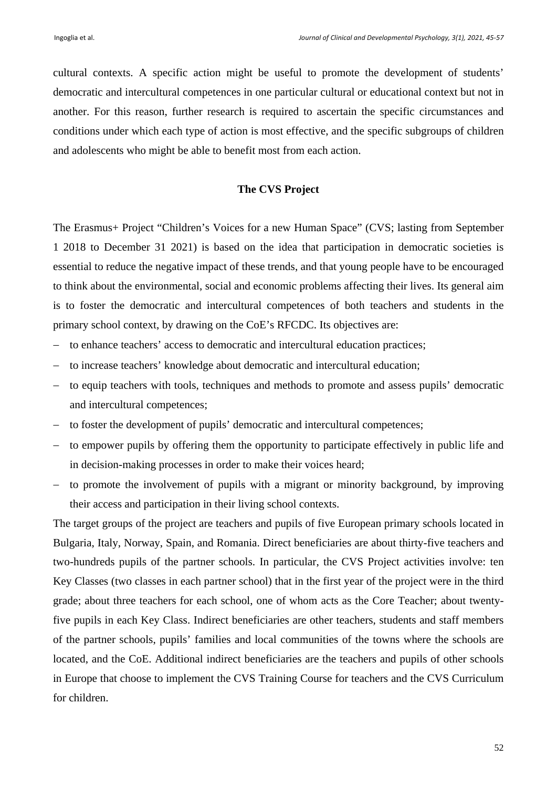cultural contexts. A specific action might be useful to promote the development of students' democratic and intercultural competences in one particular cultural or educational context but not in another. For this reason, further research is required to ascertain the specific circumstances and conditions under which each type of action is most effective, and the specific subgroups of children and adolescents who might be able to benefit most from each action.

#### **The CVS Project**

The Erasmus+ Project "Children's Voices for a new Human Space" (CVS; lasting from September 1 2018 to December 31 2021) is based on the idea that participation in democratic societies is essential to reduce the negative impact of these trends, and that young people have to be encouraged to think about the environmental, social and economic problems affecting their lives. Its general aim is to foster the democratic and intercultural competences of both teachers and students in the primary school context, by drawing on the CoE's RFCDC. Its objectives are:

- to enhance teachers' access to democratic and intercultural education practices;
- to increase teachers' knowledge about democratic and intercultural education;
- to equip teachers with tools, techniques and methods to promote and assess pupils' democratic and intercultural competences;
- to foster the development of pupils' democratic and intercultural competences;
- to empower pupils by offering them the opportunity to participate effectively in public life and in decision-making processes in order to make their voices heard;
- to promote the involvement of pupils with a migrant or minority background, by improving their access and participation in their living school contexts.

The target groups of the project are teachers and pupils of five European primary schools located in Bulgaria, Italy, Norway, Spain, and Romania. Direct beneficiaries are about thirty-five teachers and two-hundreds pupils of the partner schools. In particular, the CVS Project activities involve: ten Key Classes (two classes in each partner school) that in the first year of the project were in the third grade; about three teachers for each school, one of whom acts as the Core Teacher; about twentyfive pupils in each Key Class. Indirect beneficiaries are other teachers, students and staff members of the partner schools, pupils' families and local communities of the towns where the schools are located, and the CoE. Additional indirect beneficiaries are the teachers and pupils of other schools in Europe that choose to implement the CVS Training Course for teachers and the CVS Curriculum for children.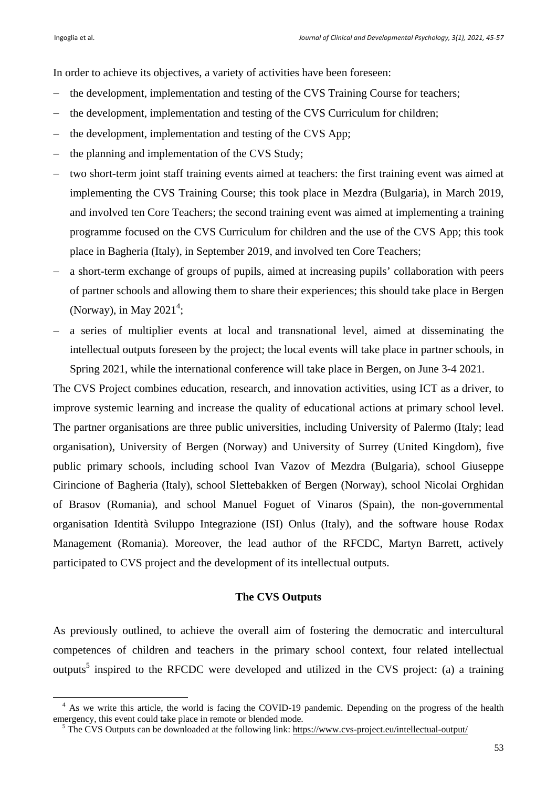In order to achieve its objectives, a variety of activities have been foreseen:

- the development, implementation and testing of the CVS Training Course for teachers;
- the development, implementation and testing of the CVS Curriculum for children;
- the development, implementation and testing of the CVS App;
- $-$  the planning and implementation of the CVS Study;
- two short-term joint staff training events aimed at teachers: the first training event was aimed at implementing the CVS Training Course; this took place in Mezdra (Bulgaria), in March 2019, and involved ten Core Teachers; the second training event was aimed at implementing a training programme focused on the CVS Curriculum for children and the use of the CVS App; this took place in Bagheria (Italy), in September 2019, and involved ten Core Teachers;
- a short-term exchange of groups of pupils, aimed at increasing pupils' collaboration with peers of partner schools and allowing them to share their experiences; this should take place in Bergen (Norway), in May  $2021^4$ ;
- a series of multiplier events at local and transnational level, aimed at disseminating the intellectual outputs foreseen by the project; the local events will take place in partner schools, in Spring 2021, while the international conference will take place in Bergen, on June 3-4 2021.

The CVS Project combines education, research, and innovation activities, using ICT as a driver, to improve systemic learning and increase the quality of educational actions at primary school level. The partner organisations are three public universities, including University of Palermo (Italy; lead organisation), University of Bergen (Norway) and University of Surrey (United Kingdom), five public primary schools, including school Ivan Vazov of Mezdra (Bulgaria), school Giuseppe Cirincione of Bagheria (Italy), school Slettebakken of Bergen (Norway), school Nicolai Orghidan of Brasov (Romania), and school Manuel Foguet of Vinaros (Spain), the non-governmental organisation Identità Sviluppo Integrazione (ISI) Onlus (Italy), and the software house Rodax Management (Romania). Moreover, the lead author of the RFCDC, Martyn Barrett, actively participated to CVS project and the development of its intellectual outputs.

## **The CVS Outputs**

As previously outlined, to achieve the overall aim of fostering the democratic and intercultural competences of children and teachers in the primary school context, four related intellectual outputs<sup>5</sup> inspired to the RFCDC were developed and utilized in the CVS project: (a) a training

<sup>&</sup>lt;sup>4</sup> As we write this article, the world is facing the COVID-19 pandemic. Depending on the progress of the health emergency, this event could take place in remote or blended mode.

<sup>&</sup>lt;sup>5</sup> The CVS Outputs can be downloaded at the following link: https://www.cvs-project.eu/intellectual-output/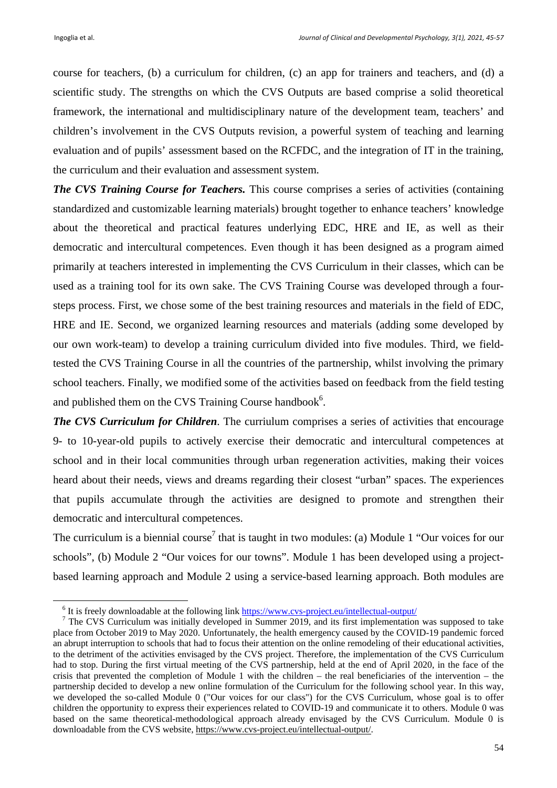course for teachers, (b) a curriculum for children, (c) an app for trainers and teachers, and (d) a scientific study. The strengths on which the CVS Outputs are based comprise a solid theoretical framework, the international and multidisciplinary nature of the development team, teachers' and children's involvement in the CVS Outputs revision, a powerful system of teaching and learning evaluation and of pupils' assessment based on the RCFDC, and the integration of IT in the training, the curriculum and their evaluation and assessment system.

*The CVS Training Course for Teachers.* This course comprises a series of activities (containing standardized and customizable learning materials) brought together to enhance teachers' knowledge about the theoretical and practical features underlying EDC, HRE and IE, as well as their democratic and intercultural competences. Even though it has been designed as a program aimed primarily at teachers interested in implementing the CVS Curriculum in their classes, which can be used as a training tool for its own sake. The CVS Training Course was developed through a foursteps process. First, we chose some of the best training resources and materials in the field of EDC, HRE and IE. Second, we organized learning resources and materials (adding some developed by our own work-team) to develop a training curriculum divided into five modules. Third, we fieldtested the CVS Training Course in all the countries of the partnership, whilst involving the primary school teachers. Finally, we modified some of the activities based on feedback from the field testing and published them on the CVS Training Course handbook<sup>6</sup>.

*The CVS Curriculum for Children*. The curriulum comprises a series of activities that encourage 9- to 10-year-old pupils to actively exercise their democratic and intercultural competences at school and in their local communities through urban regeneration activities, making their voices heard about their needs, views and dreams regarding their closest "urban" spaces. The experiences that pupils accumulate through the activities are designed to promote and strengthen their democratic and intercultural competences.

The curriculum is a biennial course<sup>7</sup> that is taught in two modules: (a) Module 1 "Our voices for our schools", (b) Module 2 "Our voices for our towns". Module 1 has been developed using a projectbased learning approach and Module 2 using a service-based learning approach. Both modules are

 $\frac{6 \text{ It is frequently developed}$  $\frac{1}{2}$  It is freely downloadable at the following link  $\frac{http://www.csv-project.eu/intellectual-output}{http://www.csv-project.eu/intelectual-output}/$ <br>
<sup>7</sup> The CVS Curriculum was initially developed in Summer 2010, and its first implementation

 $\frac{7}{1}$  The CVS Curriculum was initially developed in Summer 2019, and its first implementation was supposed to take place from October 2019 to May 2020. Unfortunately, the health emergency caused by the COVID-19 pandemic forced an abrupt interruption to schools that had to focus their attention on the online remodeling of their educational activities, to the detriment of the activities envisaged by the CVS project. Therefore, the implementation of the CVS Curriculum had to stop. During the first virtual meeting of the CVS partnership, held at the end of April 2020, in the face of the crisis that prevented the completion of Module 1 with the children – the real beneficiaries of the intervention – the partnership decided to develop a new online formulation of the Curriculum for the following school year. In this way, we developed the so-called Module 0 ("Our voices for our class") for the CVS Curriculum, whose goal is to offer children the opportunity to express their experiences related to COVID-19 and communicate it to others. Module 0 was based on the same theoretical-methodological approach already envisaged by the CVS Curriculum. Module 0 is downloadable from the CVS website, https://www.cvs-project.eu/intellectual-output/.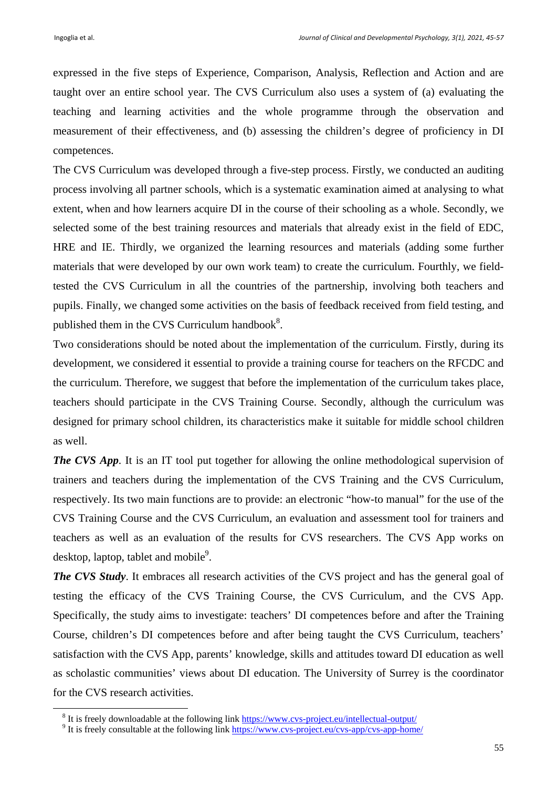expressed in the five steps of Experience, Comparison, Analysis, Reflection and Action and are taught over an entire school year. The CVS Curriculum also uses a system of (a) evaluating the teaching and learning activities and the whole programme through the observation and measurement of their effectiveness, and (b) assessing the children's degree of proficiency in DI competences.

The CVS Curriculum was developed through a five-step process. Firstly, we conducted an auditing process involving all partner schools, which is a systematic examination aimed at analysing to what extent, when and how learners acquire DI in the course of their schooling as a whole. Secondly, we selected some of the best training resources and materials that already exist in the field of EDC, HRE and IE. Thirdly, we organized the learning resources and materials (adding some further materials that were developed by our own work team) to create the curriculum. Fourthly, we fieldtested the CVS Curriculum in all the countries of the partnership, involving both teachers and pupils. Finally, we changed some activities on the basis of feedback received from field testing, and published them in the CVS Curriculum handbook $8$ .

Two considerations should be noted about the implementation of the curriculum. Firstly, during its development, we considered it essential to provide a training course for teachers on the RFCDC and the curriculum. Therefore, we suggest that before the implementation of the curriculum takes place, teachers should participate in the CVS Training Course. Secondly, although the curriculum was designed for primary school children, its characteristics make it suitable for middle school children as well.

*The CVS App.* It is an IT tool put together for allowing the online methodological supervision of trainers and teachers during the implementation of the CVS Training and the CVS Curriculum, respectively. Its two main functions are to provide: an electronic "how-to manual" for the use of the CVS Training Course and the CVS Curriculum, an evaluation and assessment tool for trainers and teachers as well as an evaluation of the results for CVS researchers. The CVS App works on desktop, laptop, tablet and mobile<sup>9</sup>.

*The CVS Study*. It embraces all research activities of the CVS project and has the general goal of testing the efficacy of the CVS Training Course, the CVS Curriculum, and the CVS App. Specifically, the study aims to investigate: teachers' DI competences before and after the Training Course, children's DI competences before and after being taught the CVS Curriculum, teachers' satisfaction with the CVS App, parents' knowledge, skills and attitudes toward DI education as well as scholastic communities' views about DI education. The University of Surrey is the coordinator for the CVS research activities.

 $8$  It is freely developed the st the f <sup>8</sup> It is freely downloadable at the following link https://www.cvs-project.eu/intellectual-output/<br><sup>9</sup> It is freely consultable at the following link https://www.cvs-project.eu/ays.enp/ays.enp.htm

<sup>&</sup>lt;sup>9</sup> It is freely consultable at the following link https://www.cvs-project.eu/cvs-app/cvs-app-home/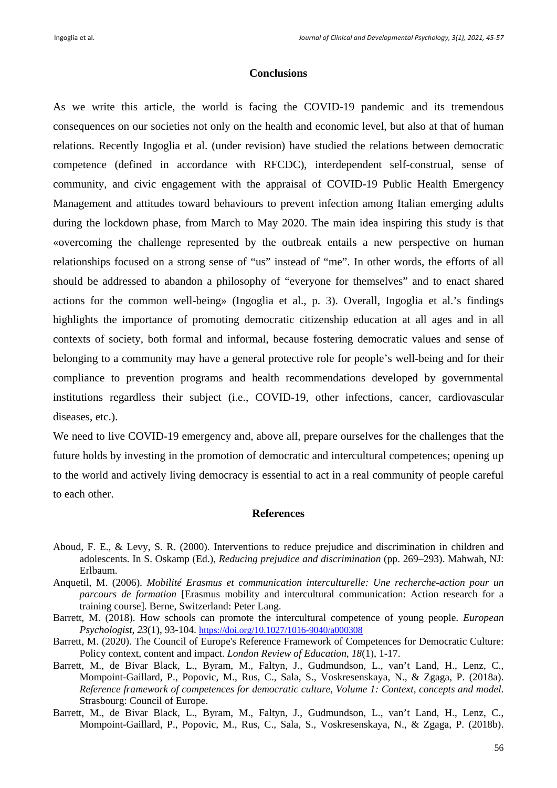## **Conclusions**

As we write this article, the world is facing the COVID-19 pandemic and its tremendous consequences on our societies not only on the health and economic level, but also at that of human relations. Recently Ingoglia et al. (under revision) have studied the relations between democratic competence (defined in accordance with RFCDC), interdependent self-construal, sense of community, and civic engagement with the appraisal of COVID-19 Public Health Emergency Management and attitudes toward behaviours to prevent infection among Italian emerging adults during the lockdown phase, from March to May 2020. The main idea inspiring this study is that «overcoming the challenge represented by the outbreak entails a new perspective on human relationships focused on a strong sense of "us" instead of "me". In other words, the efforts of all should be addressed to abandon a philosophy of "everyone for themselves" and to enact shared actions for the common well-being» (Ingoglia et al., p. 3). Overall, Ingoglia et al.'s findings highlights the importance of promoting democratic citizenship education at all ages and in all contexts of society, both formal and informal, because fostering democratic values and sense of belonging to a community may have a general protective role for people's well-being and for their compliance to prevention programs and health recommendations developed by governmental institutions regardless their subject (i.e., COVID-19, other infections, cancer, cardiovascular diseases, etc.).

We need to live COVID-19 emergency and, above all, prepare ourselves for the challenges that the future holds by investing in the promotion of democratic and intercultural competences; opening up to the world and actively living democracy is essential to act in a real community of people careful to each other.

#### **References**

- Aboud, F. E., & Levy, S. R. (2000). Interventions to reduce prejudice and discrimination in children and adolescents. In S. Oskamp (Ed.), *Reducing prejudice and discrimination* (pp. 269–293). Mahwah, NJ: Erlbaum.
- Anquetil, M. (2006). *Mobilité Erasmus et communication interculturelle: Une recherche-action pour un parcours de formation* [Erasmus mobility and intercultural communication: Action research for a training course]. Berne, Switzerland: Peter Lang.
- Barrett, M. (2018). How schools can promote the intercultural competence of young people. *European Psychologist*, *23*(1), 93-104. https://doi.org/10.1027/1016-9040/a000308
- Barrett, M. (2020). The Council of Europe's Reference Framework of Competences for Democratic Culture: Policy context, content and impact. *London Review of Education*, *18*(1), 1-17.
- Barrett, M., de Bivar Black, L., Byram, M., Faltyn, J., Gudmundson, L., van't Land, H., Lenz, C., Mompoint-Gaillard, P., Popovic, M., Rus, C., Sala, S., Voskresenskaya, N., & Zgaga, P. (2018a). *Reference framework of competences for democratic culture, Volume 1: Context, concepts and model*. Strasbourg: Council of Europe.
- Barrett, M., de Bivar Black, L., Byram, M., Faltyn, J., Gudmundson, L., van't Land, H., Lenz, C., Mompoint-Gaillard, P., Popovic, M., Rus, C., Sala, S., Voskresenskaya, N., & Zgaga, P. (2018b).